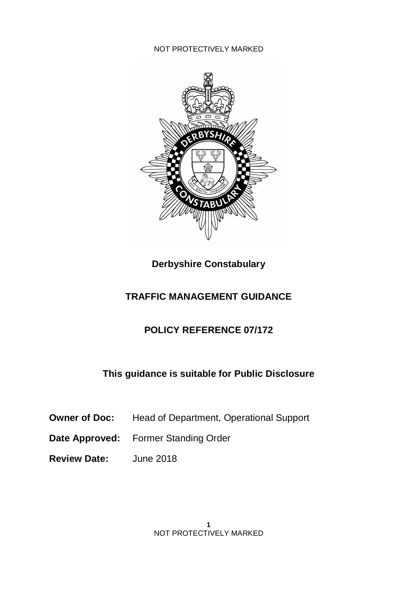

**Derbyshire Constabulary**

## **TRAFFIC MANAGEMENT GUIDANCE**

## **POLICY REFERENCE 07/172**

## **This guidance is suitable for Public Disclosure**

- **Owner of Doc:** Head of Department, Operational Support
- **Date Approved:** Former Standing Order
- **Review Date:** June 2018

**1** NOT PROTECTIVELY MARKED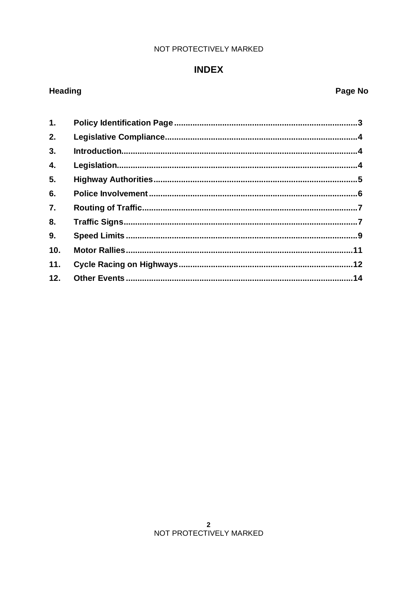## **INDEX**

# Heading

# Page No

| 1.  |  |
|-----|--|
| 2.  |  |
| 3.  |  |
| 4.  |  |
| 5.  |  |
| 6.  |  |
| 7.  |  |
| 8.  |  |
| 9.  |  |
| 10. |  |
| 11. |  |
| 12. |  |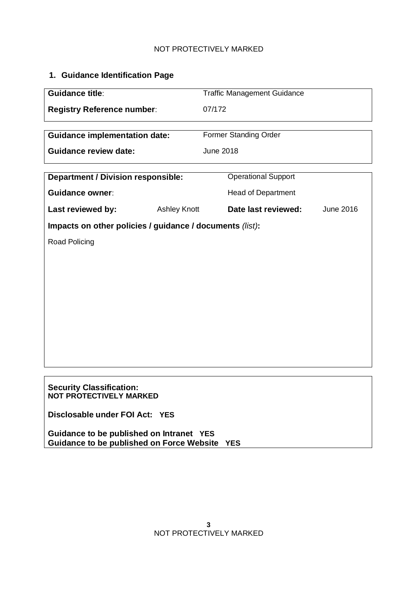## **1. Guidance Identification Page**

| Guidance title:                                                                           |                     | <b>Traffic Management Guidance</b>      |  |  |
|-------------------------------------------------------------------------------------------|---------------------|-----------------------------------------|--|--|
| <b>Registry Reference number:</b>                                                         |                     | 07/172                                  |  |  |
|                                                                                           |                     |                                         |  |  |
| <b>Guidance implementation date:</b>                                                      |                     | Former Standing Order                   |  |  |
| <b>Guidance review date:</b>                                                              |                     | <b>June 2018</b>                        |  |  |
| <b>Department / Division responsible:</b>                                                 |                     | <b>Operational Support</b>              |  |  |
| <b>Guidance owner:</b>                                                                    |                     | <b>Head of Department</b>               |  |  |
| Last reviewed by:                                                                         | <b>Ashley Knott</b> | Date last reviewed:<br><b>June 2016</b> |  |  |
|                                                                                           |                     |                                         |  |  |
| Impacts on other policies / guidance / documents (list):                                  |                     |                                         |  |  |
| Road Policing                                                                             |                     |                                         |  |  |
|                                                                                           |                     |                                         |  |  |
|                                                                                           |                     |                                         |  |  |
|                                                                                           |                     |                                         |  |  |
|                                                                                           |                     |                                         |  |  |
|                                                                                           |                     |                                         |  |  |
|                                                                                           |                     |                                         |  |  |
|                                                                                           |                     |                                         |  |  |
|                                                                                           |                     |                                         |  |  |
|                                                                                           |                     |                                         |  |  |
|                                                                                           |                     |                                         |  |  |
|                                                                                           |                     |                                         |  |  |
| <b>Security Classification:</b><br><b>NOT PROTECTIVELY MARKED</b>                         |                     |                                         |  |  |
| Disclosable under FOI Act: YES                                                            |                     |                                         |  |  |
| Guidance to be published on Intranet YES<br>Guidance to be published on Force Website YES |                     |                                         |  |  |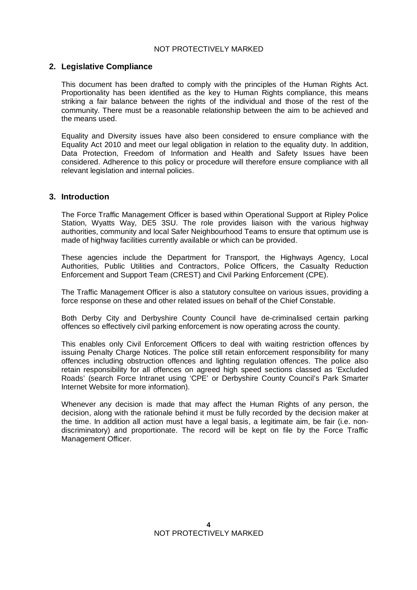## **2. Legislative Compliance**

This document has been drafted to comply with the principles of the Human Rights Act. Proportionality has been identified as the key to Human Rights compliance, this means striking a fair balance between the rights of the individual and those of the rest of the community. There must be a reasonable relationship between the aim to be achieved and the means used.

Equality and Diversity issues have also been considered to ensure compliance with the Equality Act 2010 and meet our legal obligation in relation to the equality duty. In addition, Data Protection, Freedom of Information and Health and Safety Issues have been considered. Adherence to this policy or procedure will therefore ensure compliance with all relevant legislation and internal policies.

### **3. Introduction**

The Force Traffic Management Officer is based within Operational Support at Ripley Police Station, Wyatts Way, DE5 3SU. The role provides liaison with the various highway authorities, community and local Safer Neighbourhood Teams to ensure that optimum use is made of highway facilities currently available or which can be provided.

These agencies include the Department for Transport, the Highways Agency, Local Authorities, Public Utilities and Contractors, Police Officers, the Casualty Reduction Enforcement and Support Team (CREST) and Civil Parking Enforcement (CPE).

The Traffic Management Officer is also a statutory consultee on various issues, providing a force response on these and other related issues on behalf of the Chief Constable.

Both Derby City and Derbyshire County Council have de-criminalised certain parking offences so effectively civil parking enforcement is now operating across the county.

This enables only Civil Enforcement Officers to deal with waiting restriction offences by issuing Penalty Charge Notices. The police still retain enforcement responsibility for many offences including obstruction offences and lighting regulation offences. The police also retain responsibility for all offences on agreed high speed sections classed as 'Excluded Roads' (search Force Intranet using 'CPE' or Derbyshire County Council's Park Smarter Internet Website for more information).

Whenever any decision is made that may affect the Human Rights of any person, the decision, along with the rationale behind it must be fully recorded by the decision maker at the time. In addition all action must have a legal basis, a legitimate aim, be fair (i.e. nondiscriminatory) and proportionate. The record will be kept on file by the Force Traffic Management Officer.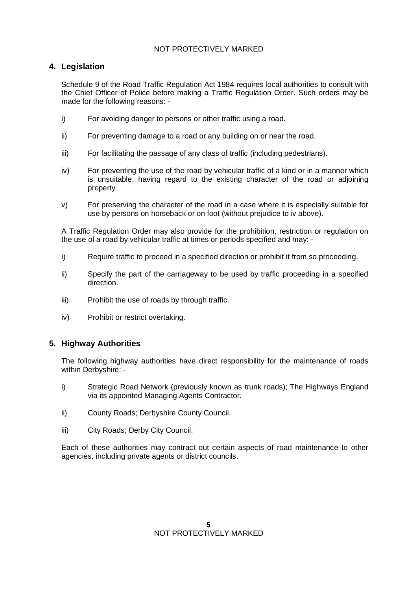## **4. Legislation**

Schedule 9 of the Road Traffic Regulation Act 1984 requires local authorities to consult with the Chief Officer of Police before making a Traffic Regulation Order. Such orders may be made for the following reasons: -

- i) For avoiding danger to persons or other traffic using a road.
- ii) For preventing damage to a road or any building on or near the road.
- iii) For facilitating the passage of any class of traffic (including pedestrians).
- iv) For preventing the use of the road by vehicular traffic of a kind or in a manner which is unsuitable, having regard to the existing character of the road or adjoining property.
- v) For preserving the character of the road in a case where it is especially suitable for use by persons on horseback or on foot (without prejudice to iv above).

A Traffic Regulation Order may also provide for the prohibition, restriction or regulation on the use of a road by vehicular traffic at times or periods specified and may: -

- i) Require traffic to proceed in a specified direction or prohibit it from so proceeding.
- ii) Specify the part of the carriageway to be used by traffic proceeding in a specified direction.
- iii) Prohibit the use of roads by through traffic.
- iv) Prohibit or restrict overtaking.

## **5. Highway Authorities**

The following highway authorities have direct responsibility for the maintenance of roads within Derbyshire: -

- i) Strategic Road Network (previously known as trunk roads); The Highways England via its appointed Managing Agents Contractor.
- ii) County Roads; Derbyshire County Council.
- iii) City Roads; Derby City Council.

Each of these authorities may contract out certain aspects of road maintenance to other agencies, including private agents or district councils.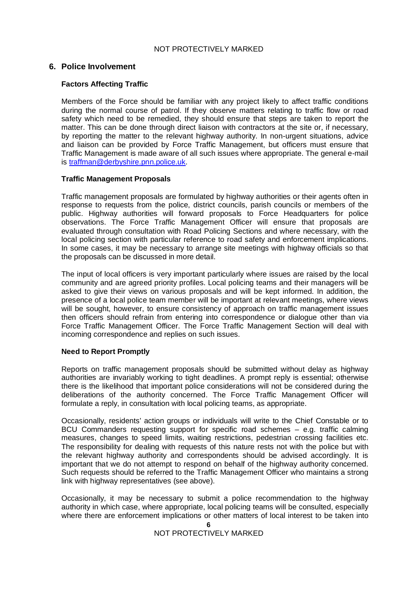#### **6. Police Involvement**

#### **Factors Affecting Traffic**

Members of the Force should be familiar with any project likely to affect traffic conditions during the normal course of patrol. If they observe matters relating to traffic flow or road safety which need to be remedied, they should ensure that steps are taken to report the matter. This can be done through direct liaison with contractors at the site or, if necessary, by reporting the matter to the relevant highway authority. In non-urgent situations, advice and liaison can be provided by Force Traffic Management, but officers must ensure that Traffic Management is made aware of all such issues where appropriate. The general e-mail is traffman@derbyshire.pnn.police.uk.

#### **Traffic Management Proposals**

Traffic management proposals are formulated by highway authorities or their agents often in response to requests from the police, district councils, parish councils or members of the public. Highway authorities will forward proposals to Force Headquarters for police observations. The Force Traffic Management Officer will ensure that proposals are evaluated through consultation with Road Policing Sections and where necessary, with the local policing section with particular reference to road safety and enforcement implications. In some cases, it may be necessary to arrange site meetings with highway officials so that the proposals can be discussed in more detail.

The input of local officers is very important particularly where issues are raised by the local community and are agreed priority profiles. Local policing teams and their managers will be asked to give their views on various proposals and will be kept informed. In addition, the presence of a local police team member will be important at relevant meetings, where views will be sought, however, to ensure consistency of approach on traffic management issues then officers should refrain from entering into correspondence or dialogue other than via Force Traffic Management Officer. The Force Traffic Management Section will deal with incoming correspondence and replies on such issues.

#### **Need to Report Promptly**

Reports on traffic management proposals should be submitted without delay as highway authorities are invariably working to tight deadlines. A prompt reply is essential; otherwise there is the likelihood that important police considerations will not be considered during the deliberations of the authority concerned. The Force Traffic Management Officer will formulate a reply, in consultation with local policing teams, as appropriate.

Occasionally, residents' action groups or individuals will write to the Chief Constable or to BCU Commanders requesting support for specific road schemes – e.g. traffic calming measures, changes to speed limits, waiting restrictions, pedestrian crossing facilities etc. The responsibility for dealing with requests of this nature rests not with the police but with the relevant highway authority and correspondents should be advised accordingly. It is important that we do not attempt to respond on behalf of the highway authority concerned. Such requests should be referred to the Traffic Management Officer who maintains a strong link with highway representatives (see above).

Occasionally, it may be necessary to submit a police recommendation to the highway authority in which case, where appropriate, local policing teams will be consulted, especially where there are enforcement implications or other matters of local interest to be taken into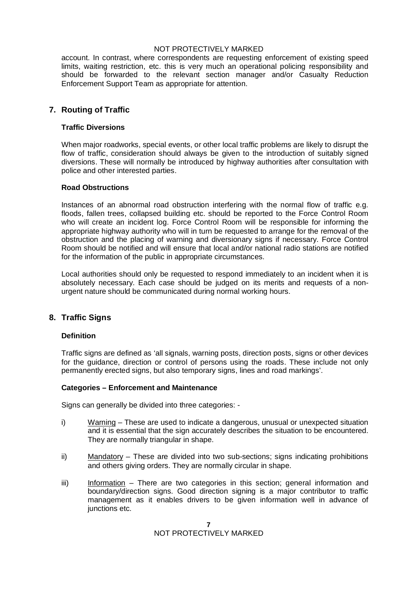account. In contrast, where correspondents are requesting enforcement of existing speed limits, waiting restriction, etc. this is very much an operational policing responsibility and should be forwarded to the relevant section manager and/or Casualty Reduction Enforcement Support Team as appropriate for attention.

## **7. Routing of Traffic**

#### **Traffic Diversions**

When major roadworks, special events, or other local traffic problems are likely to disrupt the flow of traffic, consideration should always be given to the introduction of suitably signed diversions. These will normally be introduced by highway authorities after consultation with police and other interested parties.

#### **Road Obstructions**

Instances of an abnormal road obstruction interfering with the normal flow of traffic e.g. floods, fallen trees, collapsed building etc. should be reported to the Force Control Room who will create an incident log. Force Control Room will be responsible for informing the appropriate highway authority who will in turn be requested to arrange for the removal of the obstruction and the placing of warning and diversionary signs if necessary. Force Control Room should be notified and will ensure that local and/or national radio stations are notified for the information of the public in appropriate circumstances.

Local authorities should only be requested to respond immediately to an incident when it is absolutely necessary. Each case should be judged on its merits and requests of a nonurgent nature should be communicated during normal working hours.

### **8. Traffic Signs**

#### **Definition**

Traffic signs are defined as 'all signals, warning posts, direction posts, signs or other devices for the guidance, direction or control of persons using the roads. These include not only permanently erected signs, but also temporary signs, lines and road markings'.

#### **Categories – Enforcement and Maintenance**

Signs can generally be divided into three categories: -

- i) Warning These are used to indicate a dangerous, unusual or unexpected situation and it is essential that the sign accurately describes the situation to be encountered. They are normally triangular in shape.
- ii) Mandatory These are divided into two sub-sections; signs indicating prohibitions and others giving orders. They are normally circular in shape.
- iii) Information There are two categories in this section; general information and boundary/direction signs. Good direction signing is a major contributor to traffic management as it enables drivers to be given information well in advance of junctions etc.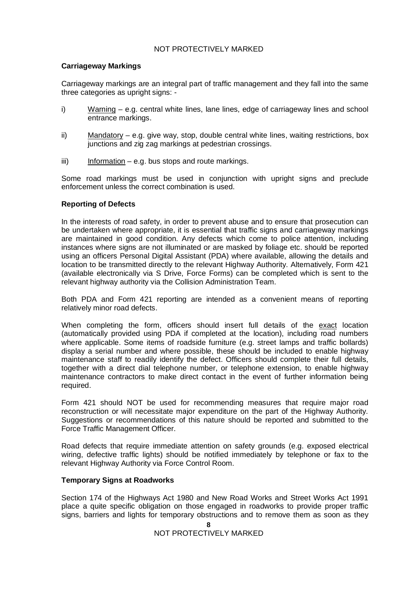#### **Carriageway Markings**

Carriageway markings are an integral part of traffic management and they fall into the same three categories as upright signs: -

- i) Warning e.g. central white lines, lane lines, edge of carriageway lines and school entrance markings.
- ii) Mandatory e.g. give way, stop, double central white lines, waiting restrictions, box junctions and zig zag markings at pedestrian crossings.
- $iii)$  Information e.g. bus stops and route markings.

Some road markings must be used in conjunction with upright signs and preclude enforcement unless the correct combination is used.

#### **Reporting of Defects**

In the interests of road safety, in order to prevent abuse and to ensure that prosecution can be undertaken where appropriate, it is essential that traffic signs and carriageway markings are maintained in good condition. Any defects which come to police attention, including instances where signs are not illuminated or are masked by foliage etc. should be reported using an officers Personal Digital Assistant (PDA) where available, allowing the details and location to be transmitted directly to the relevant Highway Authority. Alternatively, Form 421 (available electronically via S Drive, Force Forms) can be completed which is sent to the relevant highway authority via the Collision Administration Team.

Both PDA and Form 421 reporting are intended as a convenient means of reporting relatively minor road defects.

When completing the form, officers should insert full details of the exact location (automatically provided using PDA if completed at the location), including road numbers where applicable. Some items of roadside furniture (e.g. street lamps and traffic bollards) display a serial number and where possible, these should be included to enable highway maintenance staff to readily identify the defect. Officers should complete their full details, together with a direct dial telephone number, or telephone extension, to enable highway maintenance contractors to make direct contact in the event of further information being required.

Form 421 should NOT be used for recommending measures that require major road reconstruction or will necessitate major expenditure on the part of the Highway Authority. Suggestions or recommendations of this nature should be reported and submitted to the Force Traffic Management Officer.

Road defects that require immediate attention on safety grounds (e.g. exposed electrical wiring, defective traffic lights) should be notified immediately by telephone or fax to the relevant Highway Authority via Force Control Room.

#### **Temporary Signs at Roadworks**

Section 174 of the Highways Act 1980 and New Road Works and Street Works Act 1991 place a quite specific obligation on those engaged in roadworks to provide proper traffic signs, barriers and lights for temporary obstructions and to remove them as soon as they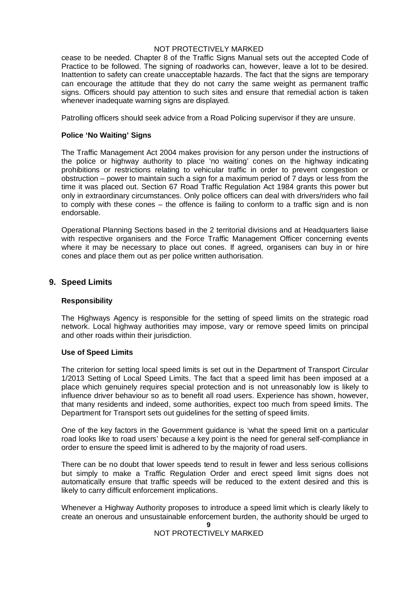cease to be needed. Chapter 8 of the Traffic Signs Manual sets out the accepted Code of Practice to be followed. The signing of roadworks can, however, leave a lot to be desired. Inattention to safety can create unacceptable hazards. The fact that the signs are temporary can encourage the attitude that they do not carry the same weight as permanent traffic signs. Officers should pay attention to such sites and ensure that remedial action is taken whenever inadequate warning signs are displayed.

Patrolling officers should seek advice from a Road Policing supervisor if they are unsure.

#### **Police 'No Waiting' Signs**

The Traffic Management Act 2004 makes provision for any person under the instructions of the police or highway authority to place 'no waiting' cones on the highway indicating prohibitions or restrictions relating to vehicular traffic in order to prevent congestion or obstruction – power to maintain such a sign for a maximum period of 7 days or less from the time it was placed out. Section 67 Road Traffic Regulation Act 1984 grants this power but only in extraordinary circumstances. Only police officers can deal with drivers/riders who fail to comply with these cones – the offence is failing to conform to a traffic sign and is non endorsable.

Operational Planning Sections based in the 2 territorial divisions and at Headquarters liaise with respective organisers and the Force Traffic Management Officer concerning events where it may be necessary to place out cones. If agreed, organisers can buy in or hire cones and place them out as per police written authorisation.

#### **9. Speed Limits**

#### **Responsibility**

The Highways Agency is responsible for the setting of speed limits on the strategic road network. Local highway authorities may impose, vary or remove speed limits on principal and other roads within their jurisdiction.

#### **Use of Speed Limits**

The criterion for setting local speed limits is set out in the Department of Transport Circular 1/2013 Setting of Local Speed Limits. The fact that a speed limit has been imposed at a place which genuinely requires special protection and is not unreasonably low is likely to influence driver behaviour so as to benefit all road users. Experience has shown, however, that many residents and indeed, some authorities, expect too much from speed limits. The Department for Transport sets out guidelines for the setting of speed limits.

One of the key factors in the Government guidance is 'what the speed limit on a particular road looks like to road users' because a key point is the need for general self-compliance in order to ensure the speed limit is adhered to by the majority of road users.

There can be no doubt that lower speeds tend to result in fewer and less serious collisions but simply to make a Traffic Regulation Order and erect speed limit signs does not automatically ensure that traffic speeds will be reduced to the extent desired and this is likely to carry difficult enforcement implications.

Whenever a Highway Authority proposes to introduce a speed limit which is clearly likely to create an onerous and unsustainable enforcement burden, the authority should be urged to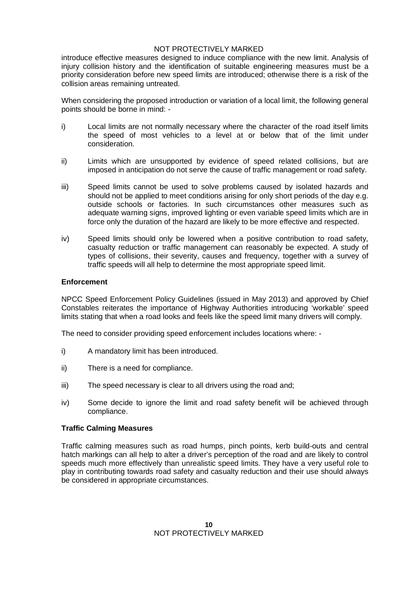introduce effective measures designed to induce compliance with the new limit. Analysis of injury collision history and the identification of suitable engineering measures must be a priority consideration before new speed limits are introduced; otherwise there is a risk of the collision areas remaining untreated.

When considering the proposed introduction or variation of a local limit, the following general points should be borne in mind: -

- i) Local limits are not normally necessary where the character of the road itself limits the speed of most vehicles to a level at or below that of the limit under consideration.
- ii) Limits which are unsupported by evidence of speed related collisions, but are imposed in anticipation do not serve the cause of traffic management or road safety.
- iii) Speed limits cannot be used to solve problems caused by isolated hazards and should not be applied to meet conditions arising for only short periods of the day e.g. outside schools or factories. In such circumstances other measures such as adequate warning signs, improved lighting or even variable speed limits which are in force only the duration of the hazard are likely to be more effective and respected.
- iv) Speed limits should only be lowered when a positive contribution to road safety, casualty reduction or traffic management can reasonably be expected. A study of types of collisions, their severity, causes and frequency, together with a survey of traffic speeds will all help to determine the most appropriate speed limit.

#### **Enforcement**

NPCC Speed Enforcement Policy Guidelines (issued in May 2013) and approved by Chief Constables reiterates the importance of Highway Authorities introducing 'workable' speed limits stating that when a road looks and feels like the speed limit many drivers will comply.

The need to consider providing speed enforcement includes locations where: -

- i) A mandatory limit has been introduced.
- ii) There is a need for compliance.
- iii) The speed necessary is clear to all drivers using the road and;
- iv) Some decide to ignore the limit and road safety benefit will be achieved through compliance.

#### **Traffic Calming Measures**

Traffic calming measures such as road humps, pinch points, kerb build-outs and central hatch markings can all help to alter a driver's perception of the road and are likely to control speeds much more effectively than unrealistic speed limits. They have a very useful role to play in contributing towards road safety and casualty reduction and their use should always be considered in appropriate circumstances.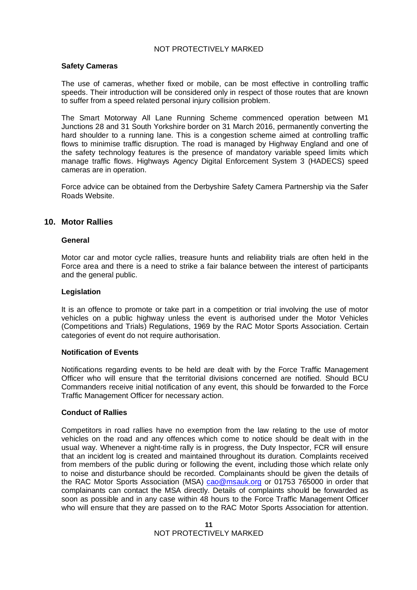#### **Safety Cameras**

The use of cameras, whether fixed or mobile, can be most effective in controlling traffic speeds. Their introduction will be considered only in respect of those routes that are known to suffer from a speed related personal injury collision problem.

The Smart Motorway All Lane Running Scheme commenced operation between M1 Junctions 28 and 31 South Yorkshire border on 31 March 2016, permanently converting the hard shoulder to a running lane. This is a congestion scheme aimed at controlling traffic flows to minimise traffic disruption. The road is managed by Highway England and one of the safety technology features is the presence of mandatory variable speed limits which manage traffic flows. Highways Agency Digital Enforcement System 3 (HADECS) speed cameras are in operation.

Force advice can be obtained from the Derbyshire Safety Camera Partnership via the Safer Roads Website.

#### **10. Motor Rallies**

#### **General**

Motor car and motor cycle rallies, treasure hunts and reliability trials are often held in the Force area and there is a need to strike a fair balance between the interest of participants and the general public.

#### **Legislation**

It is an offence to promote or take part in a competition or trial involving the use of motor vehicles on a public highway unless the event is authorised under the Motor Vehicles (Competitions and Trials) Regulations, 1969 by the RAC Motor Sports Association. Certain categories of event do not require authorisation.

#### **Notification of Events**

Notifications regarding events to be held are dealt with by the Force Traffic Management Officer who will ensure that the territorial divisions concerned are notified. Should BCU Commanders receive initial notification of any event, this should be forwarded to the Force Traffic Management Officer for necessary action.

#### **Conduct of Rallies**

Competitors in road rallies have no exemption from the law relating to the use of motor vehicles on the road and any offences which come to notice should be dealt with in the usual way. Whenever a night-time rally is in progress, the Duty Inspector, FCR will ensure that an incident log is created and maintained throughout its duration. Complaints received from members of the public during or following the event, including those which relate only to noise and disturbance should be recorded. Complainants should be given the details of the RAC Motor Sports Association (MSA) cao@msauk.org or 01753 765000 in order that complainants can contact the MSA directly. Details of complaints should be forwarded as soon as possible and in any case within 48 hours to the Force Traffic Management Officer who will ensure that they are passed on to the RAC Motor Sports Association for attention.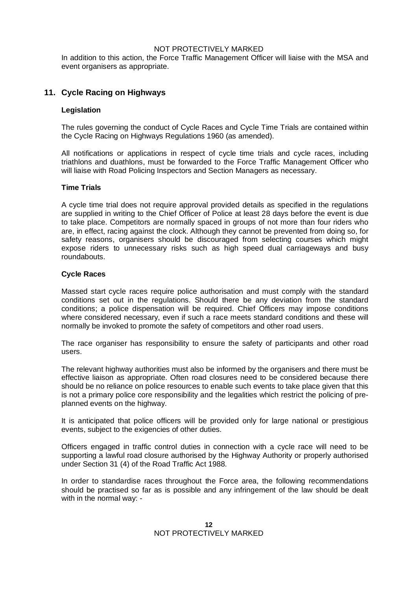In addition to this action, the Force Traffic Management Officer will liaise with the MSA and event organisers as appropriate.

## **11. Cycle Racing on Highways**

#### **Legislation**

The rules governing the conduct of Cycle Races and Cycle Time Trials are contained within the Cycle Racing on Highways Regulations 1960 (as amended).

All notifications or applications in respect of cycle time trials and cycle races, including triathlons and duathlons, must be forwarded to the Force Traffic Management Officer who will liaise with Road Policing Inspectors and Section Managers as necessary.

#### **Time Trials**

A cycle time trial does not require approval provided details as specified in the regulations are supplied in writing to the Chief Officer of Police at least 28 days before the event is due to take place. Competitors are normally spaced in groups of not more than four riders who are, in effect, racing against the clock. Although they cannot be prevented from doing so, for safety reasons, organisers should be discouraged from selecting courses which might expose riders to unnecessary risks such as high speed dual carriageways and busy roundabouts.

#### **Cycle Races**

Massed start cycle races require police authorisation and must comply with the standard conditions set out in the regulations. Should there be any deviation from the standard conditions; a police dispensation will be required. Chief Officers may impose conditions where considered necessary, even if such a race meets standard conditions and these will normally be invoked to promote the safety of competitors and other road users.

The race organiser has responsibility to ensure the safety of participants and other road users.

The relevant highway authorities must also be informed by the organisers and there must be effective liaison as appropriate. Often road closures need to be considered because there should be no reliance on police resources to enable such events to take place given that this is not a primary police core responsibility and the legalities which restrict the policing of preplanned events on the highway.

It is anticipated that police officers will be provided only for large national or prestigious events, subject to the exigencies of other duties.

Officers engaged in traffic control duties in connection with a cycle race will need to be supporting a lawful road closure authorised by the Highway Authority or properly authorised under Section 31 (4) of the Road Traffic Act 1988.

In order to standardise races throughout the Force area, the following recommendations should be practised so far as is possible and any infringement of the law should be dealt with in the normal way: -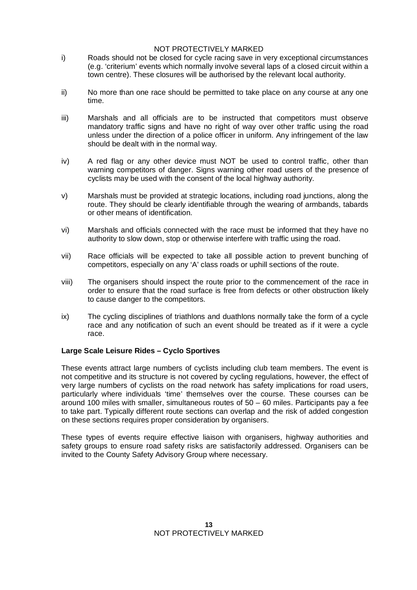- i) Roads should not be closed for cycle racing save in very exceptional circumstances (e.g. 'criterium' events which normally involve several laps of a closed circuit within a town centre). These closures will be authorised by the relevant local authority.
- ii) No more than one race should be permitted to take place on any course at any one time.
- iii) Marshals and all officials are to be instructed that competitors must observe mandatory traffic signs and have no right of way over other traffic using the road unless under the direction of a police officer in uniform. Any infringement of the law should be dealt with in the normal way.
- iv) A red flag or any other device must NOT be used to control traffic, other than warning competitors of danger. Signs warning other road users of the presence of cyclists may be used with the consent of the local highway authority.
- v) Marshals must be provided at strategic locations, including road junctions, along the route. They should be clearly identifiable through the wearing of armbands, tabards or other means of identification.
- vi) Marshals and officials connected with the race must be informed that they have no authority to slow down, stop or otherwise interfere with traffic using the road.
- vii) Race officials will be expected to take all possible action to prevent bunching of competitors, especially on any 'A' class roads or uphill sections of the route.
- viii) The organisers should inspect the route prior to the commencement of the race in order to ensure that the road surface is free from defects or other obstruction likely to cause danger to the competitors.
- ix) The cycling disciplines of triathlons and duathlons normally take the form of a cycle race and any notification of such an event should be treated as if it were a cycle race.

### **Large Scale Leisure Rides – Cyclo Sportives**

These events attract large numbers of cyclists including club team members. The event is not competitive and its structure is not covered by cycling regulations, however, the effect of very large numbers of cyclists on the road network has safety implications for road users, particularly where individuals 'time' themselves over the course. These courses can be around 100 miles with smaller, simultaneous routes of 50 – 60 miles. Participants pay a fee to take part. Typically different route sections can overlap and the risk of added congestion on these sections requires proper consideration by organisers.

These types of events require effective liaison with organisers, highway authorities and safety groups to ensure road safety risks are satisfactorily addressed. Organisers can be invited to the County Safety Advisory Group where necessary.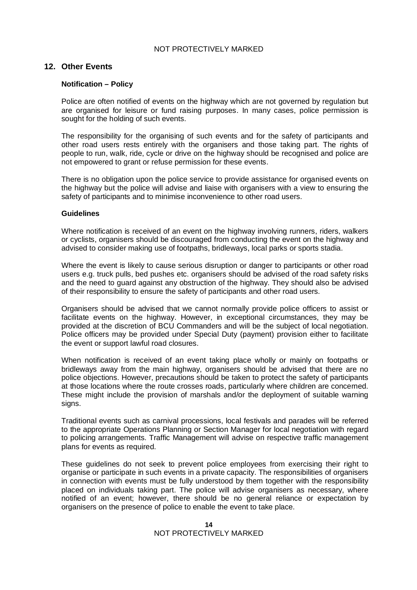#### **12. Other Events**

#### **Notification – Policy**

Police are often notified of events on the highway which are not governed by regulation but are organised for leisure or fund raising purposes. In many cases, police permission is sought for the holding of such events.

The responsibility for the organising of such events and for the safety of participants and other road users rests entirely with the organisers and those taking part. The rights of people to run, walk, ride, cycle or drive on the highway should be recognised and police are not empowered to grant or refuse permission for these events.

There is no obligation upon the police service to provide assistance for organised events on the highway but the police will advise and liaise with organisers with a view to ensuring the safety of participants and to minimise inconvenience to other road users.

#### **Guidelines**

Where notification is received of an event on the highway involving runners, riders, walkers or cyclists, organisers should be discouraged from conducting the event on the highway and advised to consider making use of footpaths, bridleways, local parks or sports stadia.

Where the event is likely to cause serious disruption or danger to participants or other road users e.g. truck pulls, bed pushes etc. organisers should be advised of the road safety risks and the need to guard against any obstruction of the highway. They should also be advised of their responsibility to ensure the safety of participants and other road users.

Organisers should be advised that we cannot normally provide police officers to assist or facilitate events on the highway. However, in exceptional circumstances, they may be provided at the discretion of BCU Commanders and will be the subject of local negotiation. Police officers may be provided under Special Duty (payment) provision either to facilitate the event or support lawful road closures.

When notification is received of an event taking place wholly or mainly on footpaths or bridleways away from the main highway, organisers should be advised that there are no police objections. However, precautions should be taken to protect the safety of participants at those locations where the route crosses roads, particularly where children are concerned. These might include the provision of marshals and/or the deployment of suitable warning signs.

Traditional events such as carnival processions, local festivals and parades will be referred to the appropriate Operations Planning or Section Manager for local negotiation with regard to policing arrangements. Traffic Management will advise on respective traffic management plans for events as required.

These guidelines do not seek to prevent police employees from exercising their right to organise or participate in such events in a private capacity. The responsibilities of organisers in connection with events must be fully understood by them together with the responsibility placed on individuals taking part. The police will advise organisers as necessary, where notified of an event; however, there should be no general reliance or expectation by organisers on the presence of police to enable the event to take place.